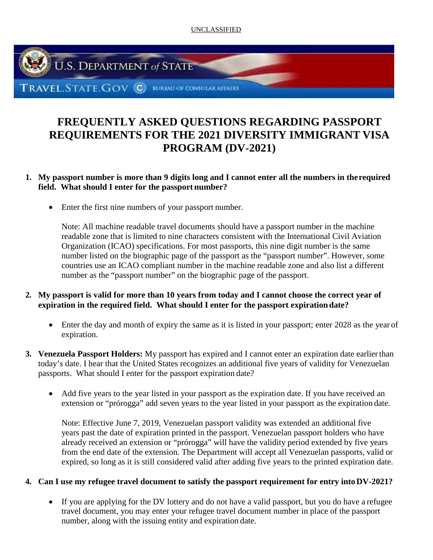UNCLASSIFIED



# **FREQUENTLY ASKED QUESTIONS REGARDING PASSPORT REQUIREMENTS FOR THE 2021 DIVERSITY IMMIGRANT VISA PROGRAM (DV-2021)**

## **1. My passport number is more than 9 digits long and I cannot enter all the numbers in therequired field. What should I enter for the passport number?**

• Enter the first nine numbers of your passport number.

Note: All machine readable travel documents should have a passport number in the machine readable zone that is limited to nine characters consistent with the International Civil Aviation Organization (ICAO) specifications. For most passports, this nine digit number is the same number listed on the biographic page of the passport as the "passport number". However, some countries use an ICAO compliant number in the machine readable zone and also list a different number as the "passport number" on the biographic page of the passport.

## **2. My passport is valid for more than 10 years from today and I cannot choose the correct year of expiration in the required field. What should I enter for the passport expirationdate?**

- Enter the day and month of expiry the same as it is listed in your passport; enter 2028 as the year of expiration.
- **3. Venezuela Passport Holders:** My passport has expired and I cannot enter an expiration date earlierthan today's date. I hear that the United States recognizes an additional five years of validity for Venezuelan passports. What should I enter for the passport expiration date?
	- Add five years to the year listed in your passport as the expiration date. If you have received an extension or "prórogga" add seven years to the year listed in your passport as the expiration date.

Note: Effective June 7, 2019, Venezuelan passport validity was extended an additional five years past the date of expiration printed in the passport. Venezuelan passport holders who have already received an extension or "prórogga" will have the validity period extended by five years from the end date of the extension. The Department will accept all Venezuelan passports, valid or expired, so long as it is still considered valid after adding five years to the printed expiration date.

## **4. Can I use my refugee travel document to satisfy the passport requirement for entry intoDV-2021?**

• If you are applying for the DV lottery and do not have a valid passport, but you do have a refugee travel document, you may enter your refugee travel document number in place of the passport number, along with the issuing entity and expiration date.